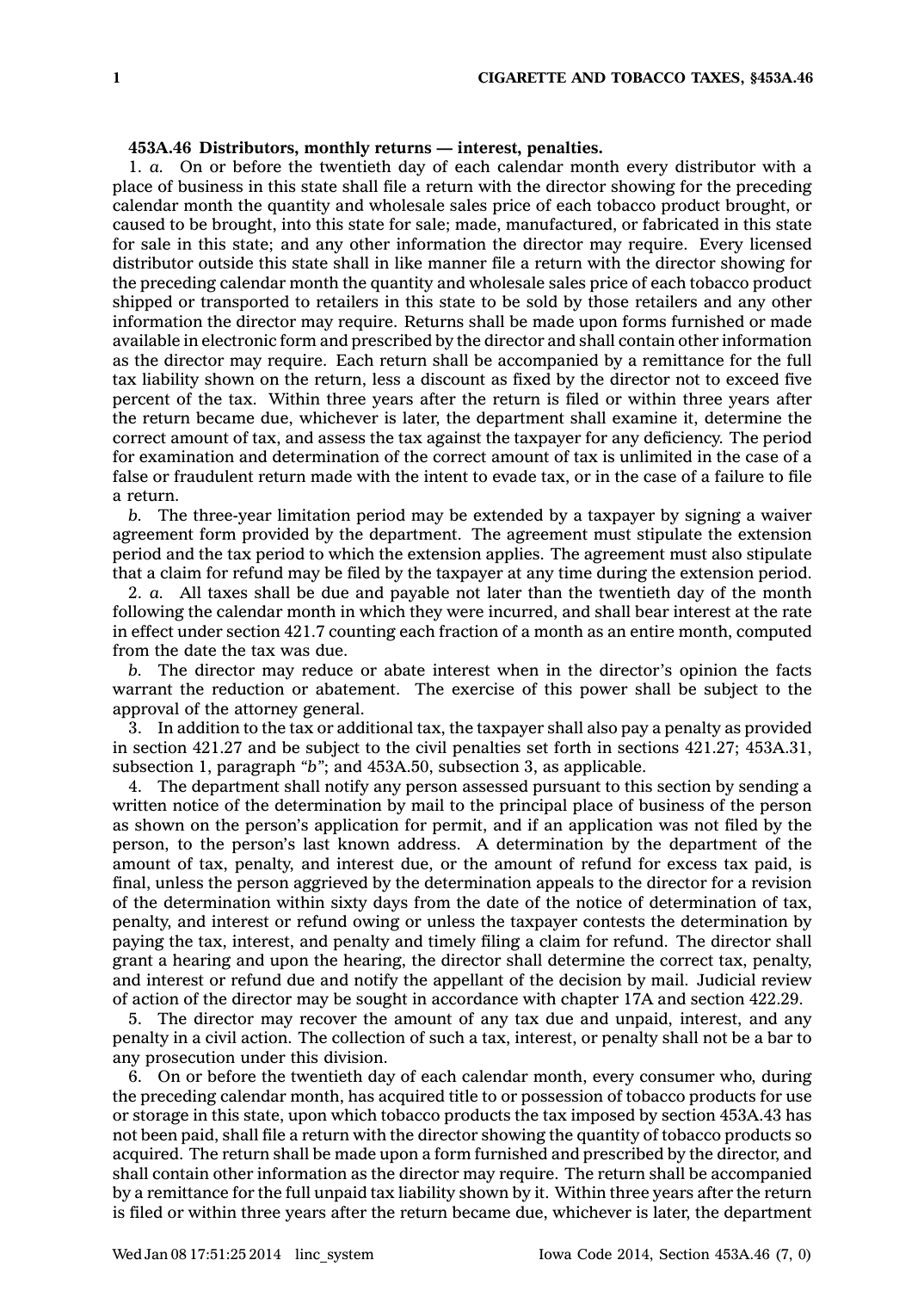## **453A.46 Distributors, monthly returns — interest, penalties.**

1. *a.* On or before the twentieth day of each calendar month every distributor with <sup>a</sup> place of business in this state shall file <sup>a</sup> return with the director showing for the preceding calendar month the quantity and wholesale sales price of each tobacco product brought, or caused to be brought, into this state for sale; made, manufactured, or fabricated in this state for sale in this state; and any other information the director may require. Every licensed distributor outside this state shall in like manner file <sup>a</sup> return with the director showing for the preceding calendar month the quantity and wholesale sales price of each tobacco product shipped or transported to retailers in this state to be sold by those retailers and any other information the director may require. Returns shall be made upon forms furnished or made available in electronic form and prescribed by the director and shall contain other information as the director may require. Each return shall be accompanied by <sup>a</sup> remittance for the full tax liability shown on the return, less <sup>a</sup> discount as fixed by the director not to exceed five percent of the tax. Within three years after the return is filed or within three years after the return became due, whichever is later, the department shall examine it, determine the correct amount of tax, and assess the tax against the taxpayer for any deficiency. The period for examination and determination of the correct amount of tax is unlimited in the case of <sup>a</sup> false or fraudulent return made with the intent to evade tax, or in the case of <sup>a</sup> failure to file a return.

*b.* The three-year limitation period may be extended by <sup>a</sup> taxpayer by signing <sup>a</sup> waiver agreement form provided by the department. The agreement must stipulate the extension period and the tax period to which the extension applies. The agreement must also stipulate that <sup>a</sup> claim for refund may be filed by the taxpayer at any time during the extension period.

2. *a.* All taxes shall be due and payable not later than the twentieth day of the month following the calendar month in which they were incurred, and shall bear interest at the rate in effect under section 421.7 counting each fraction of <sup>a</sup> month as an entire month, computed from the date the tax was due.

*b.* The director may reduce or abate interest when in the director's opinion the facts warrant the reduction or abatement. The exercise of this power shall be subject to the approval of the attorney general.

3. In addition to the tax or additional tax, the taxpayer shall also pay <sup>a</sup> penalty as provided in section 421.27 and be subject to the civil penalties set forth in sections 421.27; 453A.31, subsection 1, paragraph *"b"*; and 453A.50, subsection 3, as applicable.

4. The department shall notify any person assessed pursuant to this section by sending <sup>a</sup> written notice of the determination by mail to the principal place of business of the person as shown on the person's application for permit, and if an application was not filed by the person, to the person's last known address. A determination by the department of the amount of tax, penalty, and interest due, or the amount of refund for excess tax paid, is final, unless the person aggrieved by the determination appeals to the director for <sup>a</sup> revision of the determination within sixty days from the date of the notice of determination of tax, penalty, and interest or refund owing or unless the taxpayer contests the determination by paying the tax, interest, and penalty and timely filing <sup>a</sup> claim for refund. The director shall grant <sup>a</sup> hearing and upon the hearing, the director shall determine the correct tax, penalty, and interest or refund due and notify the appellant of the decision by mail. Judicial review of action of the director may be sought in accordance with chapter 17A and section 422.29.

5. The director may recover the amount of any tax due and unpaid, interest, and any penalty in <sup>a</sup> civil action. The collection of such <sup>a</sup> tax, interest, or penalty shall not be <sup>a</sup> bar to any prosecution under this division.

6. On or before the twentieth day of each calendar month, every consumer who, during the preceding calendar month, has acquired title to or possession of tobacco products for use or storage in this state, upon which tobacco products the tax imposed by section 453A.43 has not been paid, shall file <sup>a</sup> return with the director showing the quantity of tobacco products so acquired. The return shall be made upon <sup>a</sup> form furnished and prescribed by the director, and shall contain other information as the director may require. The return shall be accompanied by <sup>a</sup> remittance for the full unpaid tax liability shown by it. Within three years after the return is filed or within three years after the return became due, whichever is later, the department